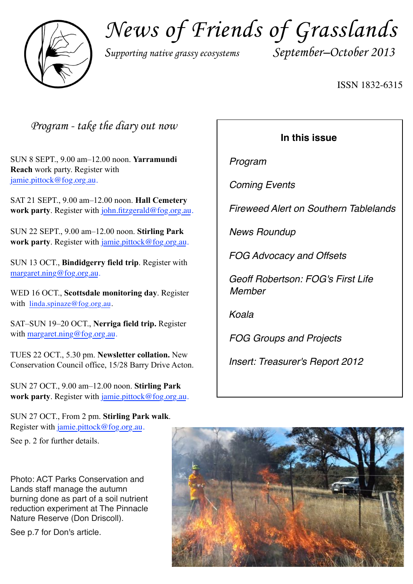

*News of Friends of Grasslands*

*Supporting native grassy ecosystems September–October 2013*

ISSN 1832-6315

*Program - take the diary out now*

SUN 8 SEPT., 9.00 am–12.00 noon. **Yarramundi Reach** work party. Register with [jamie.pittock@fog.org.au](mailto:jamie.pittock@fog.org.au).

SAT 21 SEPT., 9.00 am–12.00 noon. **Hall Cemetery work party**. Register with [john.fitzgerald@fog.org.au.](mailto:jamie.pittock@fog.org.au)

SUN 22 SEPT., 9.00 am–12.00 noon. **Stirling Park work party**. Register with [jamie.pittock@fog.org.au](mailto:jamie.pittock@fog.org.au).

SUN 13 OCT., **Bindidgerry field trip**. Register with [margaret.ning@fog.org.au.](mailto:jamie.pittock@fog.org.au)

WED 16 OCT., **Scottsdale monitoring day**. Register with linda.spinaze@fog.org.au.

SAT–SUN 19–20 OCT., **Nerriga field trip.** Register with [margaret.ning@fog.org.au](mailto:jamie.pittock@fog.org.au).

TUES 22 OCT., 5.30 pm. **Newsletter collation.** New Conservation Council office, 15/28 Barry Drive Acton.

SUN 27 OCT., 9.00 am–12.00 noon. **Stirling Park work party**. Register with [jamie.pittock@fog.org.au](mailto:jamie.pittock@fog.org.au).

SUN 27 OCT., From 2 pm. **Stirling Park walk**. Register with [jamie.pittock@fog.org.au](mailto:jamie.pittock@fog.org.au).

See p. 2 for further details.

Photo: ACT Parks Conservation and Lands staff manage the autumn burning done as part of a soil nutrient reduction experiment at The Pinnacle Nature Reserve (Don Driscoll).

See p.7 for Don's article.

## **In this issue**

*Program*

*Coming Events*

*Fireweed Alert on Southern Tablelands*

*News Roundup*

*FOG Advocacy and Offsets*

*Geoff Robertson: FOG's First Life Member*

*Koala*

*FOG Groups and Projects*

*Insert: Treasurer's Report 2012*

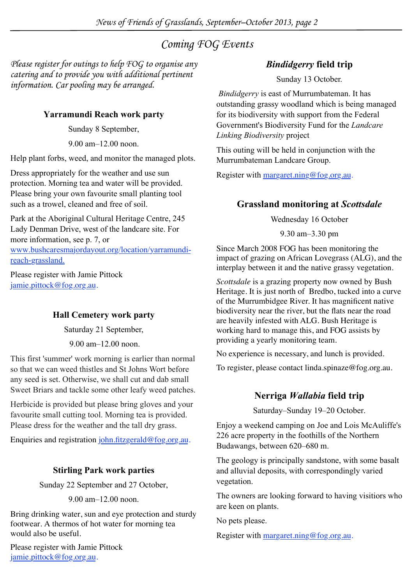## *Coming FOG Events*

*Please register for outings to help FOG to organise any catering and to provide you with additional pertinent information. Car pooling may be arranged.* 

## **Yarramundi Reach work party**

Sunday 8 September,

9.00 am–12.00 noon.

Help plant forbs, weed, and monitor the managed plots.

Dress appropriately for the weather and use sun protection. Morning tea and water will be provided. Please bring your own favourite small planting tool such as a trowel, cleaned and free of soil.

Park at the Aboriginal Cultural Heritage Centre, 245 Lady Denman Drive, west of the landcare site. For more information, see p. 7, or www.bushcaresmajordayout.org/location/yarramundireach-grassland.

Please register with Jamie Pittock [jamie.pittock@fog.org.au](mailto:jamie.pittock@fog.org.au).

## **Hall Cemetery work party**

Saturday 21 September,

9.00 am–12.00 noon.

This first 'summer' work morning is earlier than normal so that we can weed thistles and St Johns Wort before any seed is set. Otherwise, we shall cut and dab small Sweet Briars and tackle some other leafy weed patches.

Herbicide is provided but please bring gloves and your favourite small cutting tool. Morning tea is provided. Please dress for the weather and the tall dry grass.

Enquiries and registration [john.fitzgerald@fog.org.au.](mailto:jamie.pittock@fog.org.au)

## **Stirling Park work parties**

Sunday 22 September and 27 October,

9.00 am–12.00 noon.

Bring drinking water, sun and eye protection and sturdy footwear. A thermos of hot water for morning tea would also be useful.

Please register with Jamie Pittock [jamie.pittock@fog.org.au](mailto:jamie.pittock@fog.org.au).

## *Bindidgerry* **field trip**

Sunday 13 October.

*Bindidgerry* is east of Murrumbateman. It has outstanding grassy woodland which is being managed for its biodiversity with support from the Federal Government's Biodiversity Fund for the *Landcare Linking Biodiversity* project

This outing will be held in conjunction with the Murrumbateman Landcare Group.

Register with [margaret.ning@fog.org.au.](mailto:jamie.pittock@fog.org.au)

## **Grassland monitoring at** *Scottsdale*

Wednesday 16 October

9.30 am–3.30 pm

Since March 2008 FOG has been monitoring the impact of grazing on African Lovegrass (ALG), and the interplay between it and the native grassy vegetation.

*Scottsdale* is a grazing property now owned by Bush Heritage. It is just north of Bredbo, tucked into a curve of the Murrumbidgee River. It has magnificent native biodiversity near the river, but the flats near the road are heavily infested with ALG. Bush Heritage is working hard to manage this, and FOG assists by providing a yearly monitoring team.

No experience is necessary, and lunch is provided.

To register, please contact [linda.spinaze@fog.org.au](mailto:linda.spinaze@fog.org.au).

## **Nerriga** *Wallabia* **field trip**

Saturday–Sunday 19–20 October.

Enjoy a weekend camping on Joe and Lois McAuliffe's 226 acre property in the foothills of the Northern Budawangs, between 620–680 m.

The geology is principally sandstone, with some basalt and alluvial deposits, with correspondingly varied vegetation.

The owners are looking forward to having visitiors who are keen on plants.

No pets please.

Register with [margaret.ning@fog.org.au.](mailto:jamie.pittock@fog.org.au)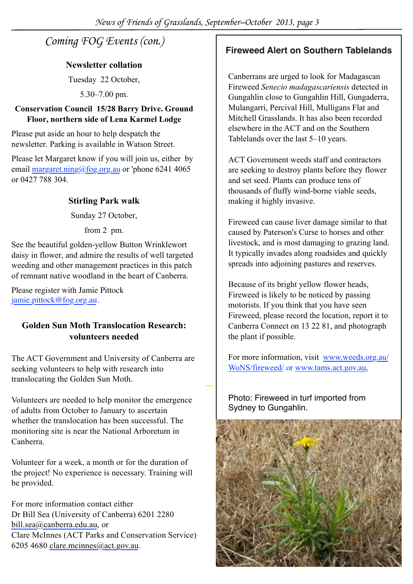## *Coming FOG Events (con.)*

### **Newsletter collation**

Tuesday 22 October,

5.30–7.00 pm.

### **Conservation Council 15/28 Barry Drive. Ground Floor, northern side of Lena Karmel Lodge**

Please put aside an hour to help despatch the newsletter. Parking is available in Watson Street.

Please let Margaret know if you will join us, either by email margaret.ning@fog.org.au or 'phone 6241 4065 or 0427 788 304.

## **Stirling Park walk**

Sunday 27 October,

from 2 pm.

See the beautiful golden-yellow Button Wrinklewort daisy in flower, and admire the results of well targeted weeding and other management practices in this patch of remnant native woodland in the heart of Canberra.

Please register with Jamie Pittock [jamie.pittock@fog.org.au.](mailto:jamie.pittock@fog.org.au)

## **Golden Sun Moth Translocation Research: volunteers needed**

The ACT Government and University of Canberra are seeking volunteers to help with research into translocating the Golden Sun Moth.

Volunteers are needed to help monitor the emergence of adults from October to January to ascertain whether the translocation has been successful. The monitoring site is near the National Arboretum in Canberra.

Volunteer for a week, a month or for the duration of the project! No experience is necessary. Training will be provided.

For more information contact either Dr Bill Sea (University of Canberra) 6201 2280 [bill.sea@canberra.edu.au](mailto:bill.sea@canberra.edu.au), or Clare McInnes (ACT Parks and Conservation Service) 6205 4680 [clare.mcinnes@act.gov.au.](mailto:clare.mcinnes@act.gov.au)

## **Fireweed Alert on Southern Tablelands**

Canberrans are urged to look for Madagascan Fireweed *Senecio madagascariensis* detected in Gungahlin close to Gungahlin Hill, Gungaderra, Mulangarri, Percival Hill, Mulligans Flat and Mitchell Grasslands. It has also been recorded elsewhere in the ACT and on the Southern Tablelands over the last 5–10 years.

ACT Government weeds staff and contractors are seeking to destroy plants before they flower and set seed. Plants can produce tens of thousands of fluffy wind-borne viable seeds, making it highly invasive.

Fireweed can cause liver damage similar to that caused by Paterson's Curse to horses and other livestock, and is most damaging to grazing land. It typically invades along roadsides and quickly spreads into adjoining pastures and reserves.

Because of its bright yellow flower heads, Fireweed is likely to be noticed by passing motorists. If you think that you have seen Fireweed, please record the location, report it to Canberra Connect on 13 22 81, and photograph the plant if possible.

For more information, visit [www.weeds.org.au/](http://www.weeds.org.au/WoNS/fireweed/) [WoNS/fireweed/](http://www.weeds.org.au/WoNS/fireweed/) or [www.tams.act.gov.au,](http://www.tams.act.gov.au)

Photo: Fireweed in turf imported from Sydney to Gungahlin.

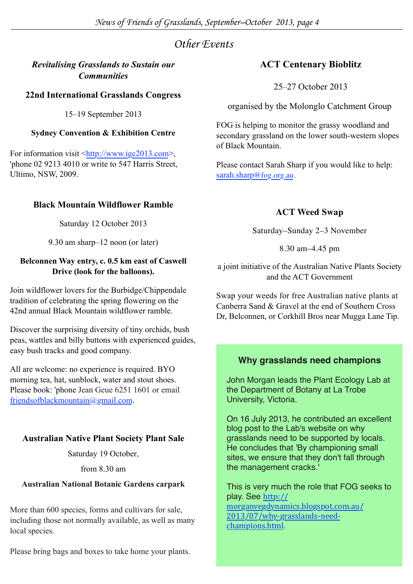## *Other Events*

## *Revitalising Grasslands to Sustain our Communities*

## **22nd International Grasslands Congress**

15–19 September 2013

### **Sydney Convention & Exhibition Centre**

For information visit <http://www.igc2013.com>, 'phone 02 9213 4010 or write to 547 Harris Street, Ultimo, NSW, 2009.

### **Black Mountain Wildflower Ramble**

Saturday 12 October 2013

9.30 am sharp–12 noon (or later)

#### **Belconnen Way entry, c. 0.5 km east of Caswell Drive (look for the balloons).**

Join wildflower lovers for the Burbidge/Chippendale tradition of celebrating the spring flowering on the 42nd annual Black Mountain wildflower ramble.

Discover the surprising diversity of tiny orchids, bush peas, wattles and billy buttons with experienced guides, easy bush tracks and good company.

All are welcome: no experience is required. BYO morning tea, hat, sunblock, water and stout shoes. Please book: 'phone Jean Geue 6251 1601 or email friendsofblackmountain@gmail.com.

## **Australian Native Plant Society Plant Sale**

Saturday 19 October,

from 8.30 am

#### **Australian National Botanic Gardens carpark**

More than 600 species, forms and cultivars for sale, including those not normally available, as well as many local species.

Please bring bags and boxes to take home your plants.

## **ACT Centenary Bioblitz**

25–27 October 2013

organised by the Molonglo Catchment Group

FOG is helping to monitor the grassy woodland and secondary grassland on the lower south-western slopes of Black Mountain.

Please contact Sarah Sharp if you would like to help: sarah.sharp@fog.org.au.

## **ACT Weed Swap**

Saturday–Sunday 2–3 November

8.30 am–4.45 pm

a joint initiative of the Australian Native Plants Society and the ACT Government

Swap your weeds for free Australian native plants at Canberra Sand & Gravel at the end of Southern Cross Dr, Belconnen, or Corkhill Bros near Mugga Lane Tip.

## **Why grasslands need champions**

John Morgan leads the Plant Ecology Lab at the Department of Botany at La Trobe University, Victoria.

On 16 July 2013, he contributed an excellent blog post to the Lab's website on why grasslands need to be supported by locals. He concludes that 'By championing small sites, we ensure that they don't fall through the management cracks.'

This is very much the role that FOG seeks to play. See [http://](http://morganvegdynamics.blogspot.com.au/2013/07/why-grasslands-need-champions.html) [morganvegdynamics.blogspot.com.au/](http://morganvegdynamics.blogspot.com.au/2013/07/why-grasslands-need-champions.html) [2013/07/why=grasslands=need=](http://morganvegdynamics.blogspot.com.au/2013/07/why-grasslands-need-champions.html) [champions.html.](http://morganvegdynamics.blogspot.com.au/2013/07/why-grasslands-need-champions.html)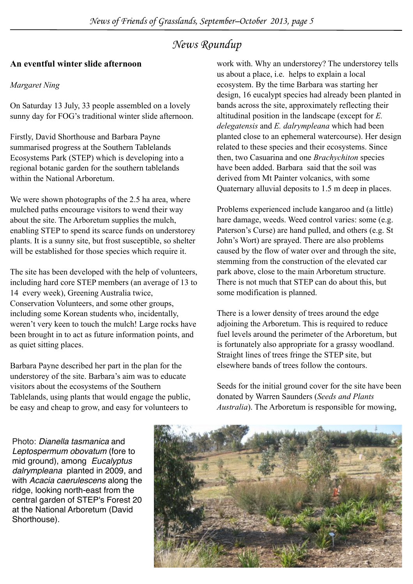## *News Roundup*

## **An eventful winter slide afternoon**

## *Margaret Ning*

On Saturday 13 July, 33 people assembled on a lovely sunny day for FOG's traditional winter slide afternoon.

Firstly, David Shorthouse and Barbara Payne summarised progress at the Southern Tablelands Ecosystems Park (STEP) which is developing into a regional botanic garden for the southern tablelands within the National Arboretum.

We were shown photographs of the 2.5 ha area, where mulched paths encourage visitors to wend their way about the site. The Arboretum supplies the mulch, enabling STEP to spend its scarce funds on understorey plants. It is a sunny site, but frost susceptible, so shelter will be established for those species which require it.

The site has been developed with the help of volunteers, including hard core STEP members (an average of 13 to 14 every week), Greening Australia twice, Conservation Volunteers, and some other groups, including some Korean students who, incidentally, weren't very keen to touch the mulch! Large rocks have been brought in to act as future information points, and as quiet sitting places.

Barbara Payne described her part in the plan for the understorey of the site. Barbara's aim was to educate visitors about the ecosystems of the Southern Tablelands, using plants that would engage the public, be easy and cheap to grow, and easy for volunteers to

work with. Why an understorey? The understorey tells us about a place, i.e. helps to explain a local ecosystem. By the time Barbara was starting her design, 16 eucalypt species had already been planted in bands across the site, approximately reflecting their altitudinal position in the landscape (except for *E. delegatensis* and *E. dalrympleana* which had been planted close to an ephemeral watercourse). Her design related to these species and their ecosystems. Since then, two Casuarina and one *Brachychiton* species have been added. Barbara said that the soil was derived from Mt Painter volcanics, with some Quaternary alluvial deposits to 1.5 m deep in places.

Problems experienced include kangaroo and (a little) hare damage, weeds. Weed control varies: some (e.g. Paterson's Curse) are hand pulled, and others (e.g. St John's Wort) are sprayed. There are also problems caused by the flow of water over and through the site, stemming from the construction of the elevated car park above, close to the main Arboretum structure. There is not much that STEP can do about this, but some modification is planned.

There is a lower density of trees around the edge adjoining the Arboretum. This is required to reduce fuel levels around the perimeter of the Arboretum, but is fortunately also appropriate for a grassy woodland. Straight lines of trees fringe the STEP site, but elsewhere bands of trees follow the contours.

Seeds for the initial ground cover for the site have been donated by Warren Saunders (*Seeds and Plants Australia*). The Arboretum is responsible for mowing,

Photo: *Dianella tasmanica* and *Leptospermum obovatum* (fore to mid ground), among *Eucalyptus dalrympleana* planted in 2009, and with *Acacia caerulescens* along the ridge, looking north-east from the central garden of STEP's Forest 20 at the National Arboretum (David Shorthouse).

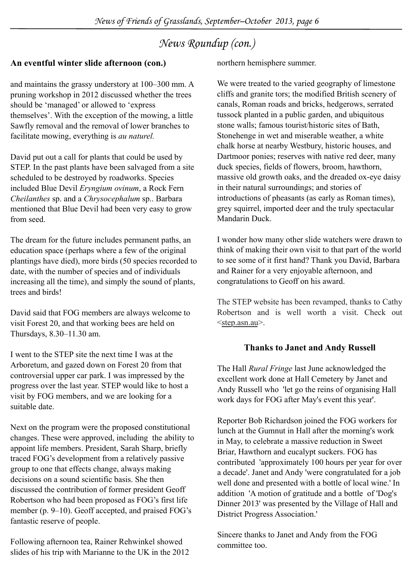## *News Roundup (con.)*

## **An eventful winter slide afternoon (con.)**

and maintains the grassy understory at 100–300 mm. A pruning workshop in 2012 discussed whether the trees should be 'managed' or allowed to 'express themselves'. With the exception of the mowing, a little Sawfly removal and the removal of lower branches to facilitate mowing, everything is *au naturel.*

David put out a call for plants that could be used by STEP. In the past plants have been salvaged from a site scheduled to be destroyed by roadworks. Species included Blue Devil *Eryngium ovinum*, a Rock Fern *Cheilanthes* sp. and a *Chrysocephalum* sp.. Barbara mentioned that Blue Devil had been very easy to grow from seed.

The dream for the future includes permanent paths, an education space (perhaps where a few of the original plantings have died), more birds (50 species recorded to date, with the number of species and of individuals increasing all the time), and simply the sound of plants, trees and birds!

David said that FOG members are always welcome to visit Forest 20, and that working bees are held on Thursdays, 8.30–11.30 am.

I went to the STEP site the next time I was at the Arboretum, and gazed down on Forest 20 from that controversial upper car park. I was impressed by the progress over the last year. STEP would like to host a visit by FOG members, and we are looking for a suitable date.

Next on the program were the proposed constitutional changes. These were approved, including the ability to appoint life members. President, Sarah Sharp, briefly traced FOG's development from a relatively passive group to one that effects change, always making decisions on a sound scientific basis. She then discussed the contribution of former president Geoff Robertson who had been proposed as FOG's first life member (p. 9–10). Geoff accepted, and praised FOG's fantastic reserve of people.

Following afternoon tea, Rainer Rehwinkel showed slides of his trip with Marianne to the UK in the 2012 northern hemisphere summer.

We were treated to the varied geography of limestone cliffs and granite tors; the modified British scenery of canals, Roman roads and bricks, hedgerows, serrated tussock planted in a public garden, and ubiquitous stone walls; famous tourist/historic sites of Bath, Stonehenge in wet and miserable weather, a white chalk horse at nearby Westbury, historic houses, and Dartmoor ponies; reserves with native red deer, many duck species, fields of flowers, broom, hawthorn, massive old growth oaks, and the dreaded ox-eye daisy in their natural surroundings; and stories of introductions of pheasants (as early as Roman times), grey squirrel, imported deer and the truly spectacular Mandarin Duck.

I wonder how many other slide watchers were drawn to think of making their own visit to that part of the world to see some of it first hand? Thank you David, Barbara and Rainer for a very enjoyable afternoon, and congratulations to Geoff on his award.

The STEP website has been revamped, thanks to Cathy Robertson and is well worth a visit. Check out [<step.asn.au](http://www.step.asn.au)>.

## **Thanks to Janet and Andy Russell**

The Hall *Rural Fringe* last June acknowledged the excellent work done at Hall Cemetery by Janet and Andy Russell who 'let go the reins of organising Hall work days for FOG after May's event this year'.

Reporter Bob Richardson joined the FOG workers for lunch at the Gumnut in Hall after the morning's work in May, to celebrate a massive reduction in Sweet Briar, Hawthorn and eucalypt suckers. FOG has contributed 'approximately 100 hours per year for over a decade'. Janet and Andy 'were congratulated for a job well done and presented with a bottle of local wine.' In addition 'A motion of gratitude and a bottle of 'Dog's Dinner 2013' was presented by the Village of Hall and District Progress Association.'

Sincere thanks to Janet and Andy from the FOG committee too.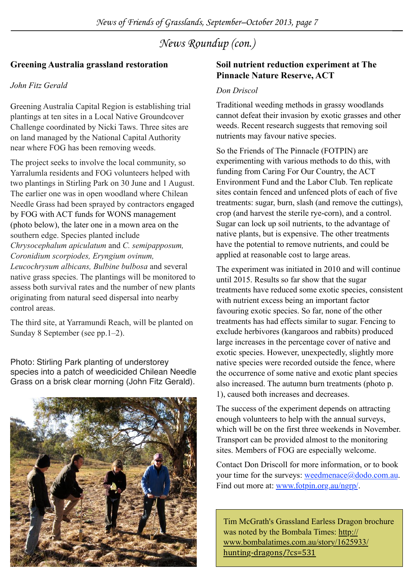*News Roundup (con.)*

### **Greening Australia grassland restoration**

#### *John Fitz Gerald*

Greening Australia Capital Region is establishing trial plantings at ten sites in a Local Native Groundcover Challenge coordinated by Nicki Taws. Three sites are on land managed by the National Capital Authority near where FOG has been removing weeds.

The project seeks to involve the local community, so Yarralumla residents and FOG volunteers helped with two plantings in Stirling Park on 30 June and 1 August. The earlier one was in open woodland where Chilean Needle Grass had been sprayed by contractors engaged by FOG with ACT funds for WONS management (photo below), the later one in a mown area on the southern edge. Species planted include *Chrysocephalum apiculatum* and *C. semipapposum, Coronidium scorpiodes, Eryngium ovinum, Leucochrysum albicans, Bulbine bulbosa* and several

native grass species. The plantings will be monitored to assess both survival rates and the number of new plants originating from natural seed dispersal into nearby control areas.

The third site, at Yarramundi Reach, will be planted on Sunday 8 September (see pp.1–2).

Photo: Stirling Park planting of understorey species into a patch of weedicided Chilean Needle Grass on a brisk clear morning (John Fitz Gerald).



### **Soil nutrient reduction experiment at The Pinnacle Nature Reserve, ACT**

#### *Don Driscol*

Traditional weeding methods in grassy woodlands cannot defeat their invasion by exotic grasses and other weeds. Recent research suggests that removing soil nutrients may favour native species.

So the Friends of The Pinnacle (FOTPIN) are experimenting with various methods to do this, with funding from Caring For Our Country, the ACT Environment Fund and the Labor Club. Ten replicate sites contain fenced and unfenced plots of each of five treatments: sugar, burn, slash (and remove the cuttings), crop (and harvest the sterile rye-corn), and a control. Sugar can lock up soil nutrients, to the advantage of native plants, but is expensive. The other treatments have the potential to remove nutrients, and could be applied at reasonable cost to large areas.

The experiment was initiated in 2010 and will continue until 2015. Results so far show that the sugar treatments have reduced some exotic species, consistent with nutrient excess being an important factor favouring exotic species. So far, none of the other treatments has had effects similar to sugar. Fencing to exclude herbivores (kangaroos and rabbits) produced large increases in the percentage cover of native and exotic species. However, unexpectedly, slightly more native species were recorded outside the fence, where the occurrence of some native and exotic plant species also increased. The autumn burn treatments (photo p. 1), caused both increases and decreases.

The success of the experiment depends on attracting enough volunteers to help with the annual surveys, which will be on the first three weekends in November. Transport can be provided almost to the monitoring sites. Members of FOG are especially welcome.

Contact Don Driscoll for more information, or to book your time for the surveys: [weedmenace@dodo.com.au.](mailto:weedmenace@dodo.com.au) Find out more at: [www.fotpin.org.au/ngrp/](http://www.fotpin.org.au/ngrp/).

Tim McGrath's Grassland Earless Dragon brochure was noted by the Bombala Times: [http://](http://www.bombalatimes.com.au/story/1625933/hunting-dragons/?cs=531) [www.bombalatimes.com.au/story/1625933/](http://www.bombalatimes.com.au/story/1625933/hunting-dragons/?cs=531) [hunting=dragons/?cs=531](http://www.bombalatimes.com.au/story/1625933/hunting-dragons/?cs=531)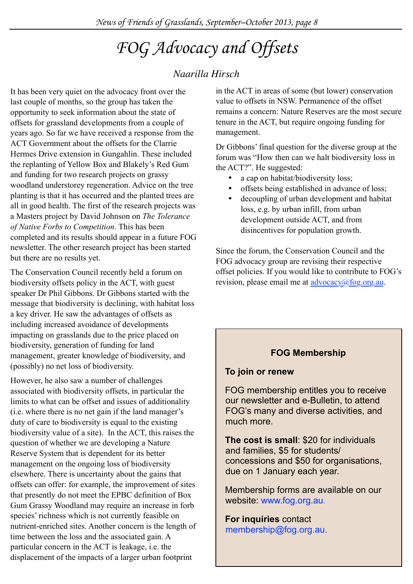## *FOG Advocacy and Offsets*

## *Naarilla Hirsch*

It has been very quiet on the advocacy front over the last couple of months, so the group has taken the opportunity to seek information about the state of offsets for grassland developments from a couple of years ago. So far we have received a response from the ACT Government about the offsets for the Clarrie Hermes Drive extension in Gungahlin. These included the replanting of Yellow Box and Blakely's Red Gum and funding for two research projects on grassy woodland understorey regeneration. Advice on the tree planting is that it has occurred and the planted trees are all in good health. The first of the research projects was a Masters project by David Johnson on *The Tolerance of Native Forbs to Competition*. This has been completed and its results should appear in a future FOG newsletter. The other research project has been started but there are no results yet.

The Conservation Council recently held a forum on biodiversity offsets policy in the ACT, with guest speaker Dr Phil Gibbons. Dr Gibbons started with the message that biodiversity is declining, with habitat loss a key driver. He saw the advantages of offsets as including increased avoidance of developments impacting on grasslands due to the price placed on biodiversity, generation of funding for land management, greater knowledge of biodiversity, and (possibly) no net loss of biodiversity.

However, he also saw a number of challenges associated with biodiversity offsets, in particular the limits to what can be offset and issues of additionality (i.e. where there is no net gain if the land manager's duty of care to biodiversity is equal to the existing biodiversity value of a site). In the ACT, this raises the question of whether we are developing a Nature Reserve System that is dependent for its better management on the ongoing loss of biodiversity elsewhere. There is uncertainty about the gains that offsets can offer: for example, the improvement of sites that presently do not meet the EPBC definition of Box Gum Grassy Woodland may require an increase in forb species' richness which is not currently feasible on nutrient-enriched sites. Another concern is the length of time between the loss and the associated gain. A particular concern in the ACT is leakage, i.e. the displacement of the impacts of a larger urban footprint

in the ACT in areas of some (but lower) conservation value to offsets in NSW. Permanence of the offset remains a concern: Nature Reserves are the most secure tenure in the ACT, but require ongoing funding for management.

Dr Gibbons' final question for the diverse group at the forum was "How then can we halt biodiversity loss in the ACT?". He suggested:

- a cap on habitat/biodiversity loss;
- offsets being established in advance of loss;
- decoupling of urban development and habitat loss, e.g. by urban infill, from urban development outside ACT, and from disincentives for population growth.

Since the forum, the Conservation Council and the FOG advocacy group are revising their respective offset policies. If you would like to contribute to FOG's revision, please email me at  $\frac{advocacy(a) fog.org.au.}{advocacy(a) gog.gov.}$ 

## **FOG Membership**

## **To join or renew**

FOG membership entitles you to receive our newsletter and e-Bulletin, to attend FOG's many and diverse activities, and much more.

**The cost is small**: \$20 for individuals and families, \$5 for students/ concessions and \$50 for organisations, due on 1 January each year.

Membership forms are available on our website: [www.fog.org.au.](http://www.fog.org.au/membership.htm)

**For inquiries** contact membership@fog.org.au.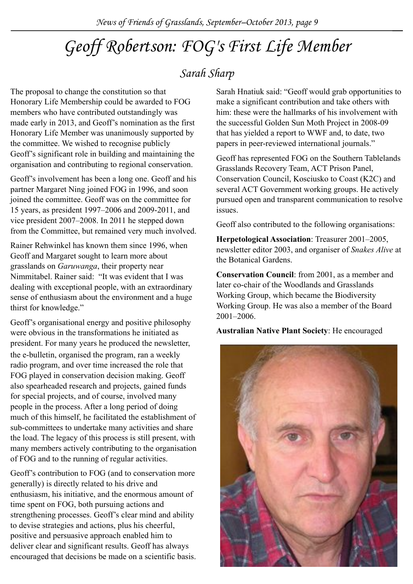## *Geoff Robertson: FOG's First Life Member*

## *Sarah Sharp*

The proposal to change the constitution so that Honorary Life Membership could be awarded to FOG members who have contributed outstandingly was made early in 2013, and Geoff's nomination as the first Honorary Life Member was unanimously supported by the committee. We wished to recognise publicly Geoff's significant role in building and maintaining the organisation and contributing to regional conservation.

Geoff's involvement has been a long one. Geoff and his partner Margaret Ning joined FOG in 1996, and soon joined the committee. Geoff was on the committee for 15 years, as president 1997–2006 and 2009-2011, and vice president 2007–2008. In 2011 he stepped down from the Committee, but remained very much involved.

Rainer Rehwinkel has known them since 1996, when Geoff and Margaret sought to learn more about grasslands on *Garuwanga*, their property near Nimmitabel. Rainer said: "It was evident that I was dealing with exceptional people, with an extraordinary sense of enthusiasm about the environment and a huge thirst for knowledge."

Geoff's organisational energy and positive philosophy were obvious in the transformations he initiated as president. For many years he produced the newsletter, the e-bulletin, organised the program, ran a weekly radio program, and over time increased the role that FOG played in conservation decision making. Geoff also spearheaded research and projects, gained funds for special projects, and of course, involved many people in the process. After a long period of doing much of this himself, he facilitated the establishment of sub-committees to undertake many activities and share the load. The legacy of this process is still present, with many members actively contributing to the organisation of FOG and to the running of regular activities.

Geoff's contribution to FOG (and to conservation more generally) is directly related to his drive and enthusiasm, his initiative, and the enormous amount of time spent on FOG, both pursuing actions and strengthening processes. Geoff's clear mind and ability to devise strategies and actions, plus his cheerful, positive and persuasive approach enabled him to deliver clear and significant results. Geoff has always encouraged that decisions be made on a scientific basis. Sarah Hnatiuk said: "Geoff would grab opportunities to make a significant contribution and take others with him: these were the hallmarks of his involvement with the successful Golden Sun Moth Project in 2008-09 that has yielded a report to WWF and, to date, two papers in peer-reviewed international journals."

Geoff has represented FOG on the Southern Tablelands Grasslands Recovery Team, ACT Prison Panel, Conservation Council, Kosciusko to Coast (K2C) and several ACT Government working groups. He actively pursued open and transparent communication to resolve issues.

Geoff also contributed to the following organisations:

**Herpetological Association**: Treasurer 2001–2005, newsletter editor 2003, and organiser of *Snakes Alive* at the Botanical Gardens.

**Conservation Council**: from 2001, as a member and later co-chair of the Woodlands and Grasslands Working Group, which became the Biodiversity Working Group. He was also a member of the Board 2001–2006.

**Australian Native Plant Society**: He encouraged

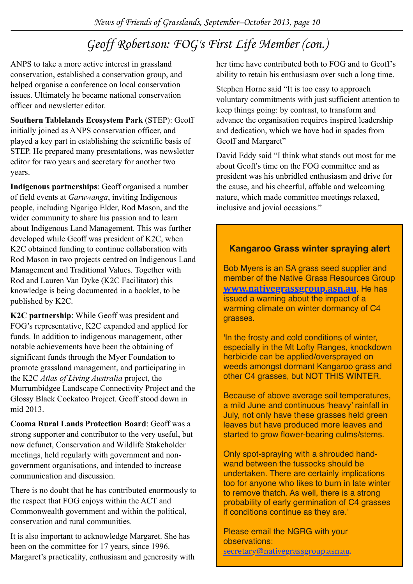## *Geoff Robertson: FOG's First Life Member (con.)*

ANPS to take a more active interest in grassland conservation, established a conservation group, and helped organise a conference on local conservation issues. Ultimately he became national conservation officer and newsletter editor.

**Southern Tablelands Ecosystem Park** (STEP): Geoff initially joined as ANPS conservation officer, and played a key part in establishing the scientific basis of STEP. He prepared many presentations, was newsletter editor for two years and secretary for another two years.

**Indigenous partnerships**: Geoff organised a number of field events at *Garuwanga*, inviting Indigenous people, including Ngarigo Elder, Rod Mason, and the wider community to share his passion and to learn about Indigenous Land Management. This was further developed while Geoff was president of K2C, when K2C obtained funding to continue collaboration with Rod Mason in two projects centred on Indigenous Land Management and Traditional Values. Together with Rod and Lauren Van Dyke (K2C Facilitator) this knowledge is being documented in a booklet, to be published by K2C.

**K2C partnership**: While Geoff was president and FOG's representative, K2C expanded and applied for funds. In addition to indigenous management, other notable achievements have been the obtaining of significant funds through the Myer Foundation to promote grassland management, and participating in the K2C *Atlas of Living Australia* project, the Murrumbidgee Landscape Connectivity Project and the Glossy Black Cockatoo Project. Geoff stood down in mid 2013.

**Cooma Rural Lands Protection Board**: Geoff was a strong supporter and contributor to the very useful, but now defunct, Conservation and Wildlife Stakeholder meetings, held regularly with government and nongovernment organisations, and intended to increase communication and discussion.

There is no doubt that he has contributed enormously to the respect that FOG enjoys within the ACT and Commonwealth government and within the political, conservation and rural communities.

It is also important to acknowledge Margaret. She has been on the committee for 17 years, since 1996. Margaret's practicality, enthusiasm and generosity with her time have contributed both to FOG and to Geoff's ability to retain his enthusiasm over such a long time.

Stephen Horne said "It is too easy to approach voluntary commitments with just sufficient attention to keep things going: by contrast, to transform and advance the organisation requires inspired leadership and dedication, which we have had in spades from Geoff and Margaret"

David Eddy said "I think what stands out most for me about Geoff's time on the FOG committee and as president was his unbridled enthusiasm and drive for the cause, and his cheerful, affable and welcoming nature, which made committee meetings relaxed, inclusive and jovial occasions."

## **Kangaroo Grass winter spraying alert**

Bob Myers is an SA grass seed supplier and member of the Native Grass Resources Group **[www.nativegrassgroup.asn.au](http://ww)**. He has issued a warning about the impact of a warming climate on winter dormancy of C4 grasses.

'In the frosty and cold conditions of winter, especially in the Mt Lofty Ranges, knockdown herbicide can be applied/oversprayed on weeds amongst dormant Kangaroo grass and other C4 grasses, but NOT THIS WINTER.

Because of above average soil temperatures, a mild June and continuous 'heavy' rainfall in July, not only have these grasses held green leaves but have produced more leaves and started to grow flower-bearing culms/stems.

Only spot-spraying with a shrouded handwand between the tussocks should be undertaken. There are certainly implications too for anyone who likes to burn in late winter to remove thatch. As well, there is a strong probability of early germination of C4 grasses if conditions continue as they are.'

Please email the NGRG with your observations:

[secretary@nativegrassgroup.asn.au.](mailto:secretary@nativegrassgroup.asn.au)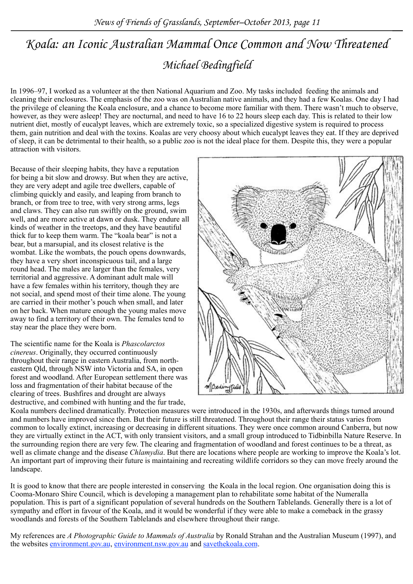## *Michael Bedingfield Koala: an Iconic Australian Mammal Once Common and Now Threatened*

In 1996–97, I worked as a volunteer at the then National Aquarium and Zoo. My tasks included feeding the animals and cleaning their enclosures. The emphasis of the zoo was on Australian native animals, and they had a few Koalas. One day I had the privilege of cleaning the Koala enclosure, and a chance to become more familiar with them. There wasn't much to observe, however, as they were asleep! They are nocturnal, and need to have 16 to 22 hours sleep each day. This is related to their low nutrient diet, mostly of eucalypt leaves, which are extremely toxic, so a specialized digestive system is required to process them, gain nutrition and deal with the toxins. Koalas are very choosy about which eucalypt leaves they eat. If they are deprived of sleep, it can be detrimental to their health, so a public zoo is not the ideal place for them. Despite this, they were a popular attraction with visitors.

Because of their sleeping habits, they have a reputation for being a bit slow and drowsy. But when they are active, they are very adept and agile tree dwellers, capable of climbing quickly and easily, and leaping from branch to branch, or from tree to tree, with very strong arms, legs and claws. They can also run swiftly on the ground, swim well, and are more active at dawn or dusk. They endure all kinds of weather in the treetops, and they have beautiful thick fur to keep them warm. The "koala bear" is not a bear, but a marsupial, and its closest relative is the wombat. Like the wombats, the pouch opens downwards, they have a very short inconspicuous tail, and a large round head. The males are larger than the females, very territorial and aggressive. A dominant adult male will have a few females within his territory, though they are not social, and spend most of their time alone. The young are carried in their mother's pouch when small, and later on her back. When mature enough the young males move away to find a territory of their own. The females tend to stay near the place they were born.

The scientific name for the Koala is *Phascolarctos cinereus*. Originally, they occurred continuously throughout their range in eastern Australia, from northeastern Qld, through NSW into Victoria and SA, in open forest and woodland. After European settlement there was loss and fragmentation of their habitat because of the clearing of trees. Bushfires and drought are always destructive, and combined with hunting and the fur trade,



Koala numbers declined dramatically. Protection measures were introduced in the 1930s, and afterwards things turned around and numbers have improved since then. But their future is still threatened. Throughout their range their status varies from common to locally extinct, increasing or decreasing in different situations. They were once common around Canberra, but now they are virtually extinct in the ACT, with only transient visitors, and a small group introduced to Tidbinbilla Nature Reserve. In the surrounding region there are very few. The clearing and fragmentation of woodland and forest continues to be a threat, as well as climate change and the disease *Chlamydia*. But there are locations where people are working to improve the Koala's lot. An important part of improving their future is maintaining and recreating wildlife corridors so they can move freely around the landscape.

It is good to know that there are people interested in conserving the Koala in the local region. One organisation doing this is Cooma-Monaro Shire Council, which is developing a management plan to rehabilitate some habitat of the Numeralla population. This is part of a significant population of several hundreds on the Southern Tablelands. Generally there is a lot of sympathy and effort in favour of the Koala, and it would be wonderful if they were able to make a comeback in the grassy woodlands and forests of the Southern Tablelands and elsewhere throughout their range.

My references are *A Photographic Guide to Mammals of Australia* by Ronald Strahan and the Australian Museum (1997), and the websites environment.gov.au, environment.nsw.gov.au and savethekoala.com.